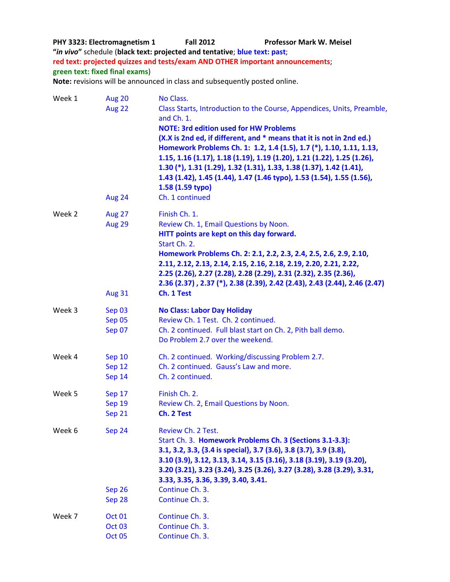**PHY 3323: Electromagnetism 1 Fall 2012 Professor Mark W. Meisel "***in vivo***"** schedule (**black text: projected and tentative**; **blue text: past**; **red text: projected quizzes and tests/exam AND OTHER important announcements**; **green text: fixed final exams**) **Note:** revisions will be announced in class and subsequently posted online. Week 1 Aug 20 No Class. Aug 22 Class Starts, Introduction to the Course, Appendices, Units, Preamble, and Ch. 1. **NOTE: 3rd edition used for HW Problems (X.X is 2nd ed, if different, and \* means that it is not in 2nd ed.)** 

|        | Aug 24                                              | $\mathbf{m}$ is zince $\mathbf{u}_i$ if uniclearly and a means that it is not in zince $\mathbf{u}_i$<br>Homework Problems Ch. 1: 1.2, 1.4 (1.5), 1.7 (*), 1.10, 1.11, 1.13,<br>1.15, 1.16 (1.17), 1.18 (1.19), 1.19 (1.20), 1.21 (1.22), 1.25 (1.26),<br>1.30 (*), 1.31 (1.29), 1.32 (1.31), 1.33, 1.38 (1.37), 1.42 (1.41),<br>1.43 (1.42), 1.45 (1.44), 1.47 (1.46 typo), 1.53 (1.54), 1.55 (1.56),<br>1.58 (1.59 typo)<br>Ch. 1 continued |
|--------|-----------------------------------------------------|-----------------------------------------------------------------------------------------------------------------------------------------------------------------------------------------------------------------------------------------------------------------------------------------------------------------------------------------------------------------------------------------------------------------------------------------------|
| Week 2 | <b>Aug 27</b><br>Aug 29<br><b>Aug 31</b>            | Finish Ch. 1.<br>Review Ch. 1, Email Questions by Noon.<br>HITT points are kept on this day forward.<br>Start Ch. 2.<br>Homework Problems Ch. 2: 2.1, 2.2, 2.3, 2.4, 2.5, 2.6, 2.9, 2.10,<br>2.11, 2.12, 2.13, 2.14, 2.15, 2.16, 2.18, 2.19, 2.20, 2.21, 2.22,<br>2.25 (2.26), 2.27 (2.28), 2.28 (2.29), 2.31 (2.32), 2.35 (2.36),<br>2.36 (2.37) , 2.37 (*), 2.38 (2.39), 2.42 (2.43), 2.43 (2.44), 2.46 (2.47)<br>Ch. 1 Test                |
| Week 3 | Sep 03<br>Sep 05<br>Sep 07                          | <b>No Class: Labor Day Holiday</b><br>Review Ch. 1 Test. Ch. 2 continued.<br>Ch. 2 continued. Full blast start on Ch. 2, Pith ball demo.<br>Do Problem 2.7 over the weekend.                                                                                                                                                                                                                                                                  |
| Week 4 | Sep 10<br>Sep 12<br>Sep 14                          | Ch. 2 continued. Working/discussing Problem 2.7.<br>Ch. 2 continued. Gauss's Law and more.<br>Ch. 2 continued.                                                                                                                                                                                                                                                                                                                                |
| Week 5 | Sep 17<br>Sep 19<br>Sep 21                          | Finish Ch. 2.<br>Review Ch. 2, Email Questions by Noon.<br>Ch. 2 Test                                                                                                                                                                                                                                                                                                                                                                         |
| Week 6 | Sep 24                                              | Review Ch. 2 Test.<br>Start Ch. 3. Homework Problems Ch. 3 (Sections 3.1-3.3):<br>3.1, 3.2, 3.3, {3.4 is special}, 3.7 (3.6), 3.8 (3.7), 3.9 (3.8),<br>3.10 (3.9), 3.12, 3.13, 3.14, 3.15 (3.16), 3.18 (3.19), 3.19 (3.20),<br>3.20 (3.21), 3.23 (3.24), 3.25 (3.26), 3.27 (3.28), 3.28 (3.29), 3.31,<br>3.33, 3.35, 3.36, 3.39, 3.40, 3.41.                                                                                                  |
|        | Sep 26<br>Sep 28                                    | Continue Ch. 3.<br>Continue Ch. 3.                                                                                                                                                                                                                                                                                                                                                                                                            |
| Week 7 | <b>Oct 01</b><br>Oct <sub>03</sub><br><b>Oct 05</b> | Continue Ch. 3.<br>Continue Ch. 3.<br>Continue Ch. 3.                                                                                                                                                                                                                                                                                                                                                                                         |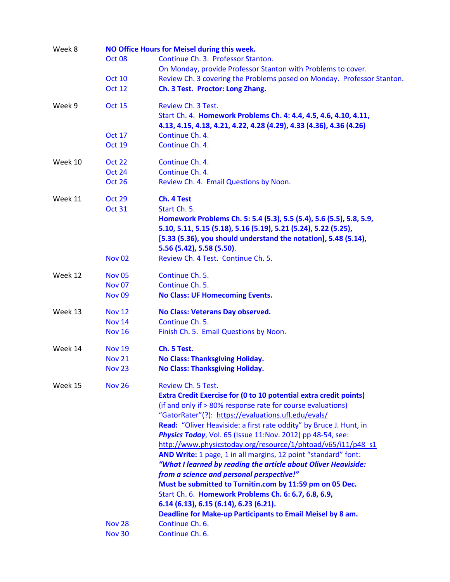| Week 8  | NO Office Hours for Meisel during this week. |                                                                          |  |
|---------|----------------------------------------------|--------------------------------------------------------------------------|--|
|         | <b>Oct 08</b>                                | Continue Ch. 3. Professor Stanton.                                       |  |
|         |                                              | On Monday, provide Professor Stanton with Problems to cover.             |  |
|         | <b>Oct 10</b>                                | Review Ch. 3 covering the Problems posed on Monday. Professor Stanton.   |  |
|         | <b>Oct 12</b>                                | Ch. 3 Test. Proctor: Long Zhang.                                         |  |
| Week 9  | <b>Oct 15</b>                                | Review Ch. 3 Test.                                                       |  |
|         |                                              | Start Ch. 4. Homework Problems Ch. 4: 4.4, 4.5, 4.6, 4.10, 4.11,         |  |
|         |                                              | 4.13, 4.15, 4.18, 4.21, 4.22, 4.28 (4.29), 4.33 (4.36), 4.36 (4.26)      |  |
|         | <b>Oct 17</b>                                | Continue Ch. 4.                                                          |  |
|         | <b>Oct 19</b>                                | Continue Ch. 4.                                                          |  |
| Week 10 | <b>Oct 22</b>                                | Continue Ch. 4.                                                          |  |
|         | <b>Oct 24</b>                                | Continue Ch. 4.                                                          |  |
|         | <b>Oct 26</b>                                | Review Ch. 4. Email Questions by Noon.                                   |  |
| Week 11 | <b>Oct 29</b>                                | Ch. 4 Test                                                               |  |
|         | <b>Oct 31</b>                                | Start Ch. 5.                                                             |  |
|         |                                              | Homework Problems Ch. 5: 5.4 (5.3), 5.5 (5.4), 5.6 (5.5), 5.8, 5.9,      |  |
|         |                                              | 5.10, 5.11, 5.15 (5.18), 5.16 (5.19), 5.21 (5.24), 5.22 (5.25),          |  |
|         |                                              | [5.33 (5.36), you should understand the notation], 5.48 (5.14),          |  |
|         |                                              | 5.56 (5.42), 5.58 (5.50).                                                |  |
|         | <b>Nov 02</b>                                | Review Ch. 4 Test. Continue Ch. 5.                                       |  |
| Week 12 | <b>Nov 05</b>                                | Continue Ch. 5.                                                          |  |
|         | <b>Nov 07</b>                                | Continue Ch. 5.                                                          |  |
|         | <b>Nov 09</b>                                | <b>No Class: UF Homecoming Events.</b>                                   |  |
| Week 13 | <b>Nov 12</b>                                | No Class: Veterans Day observed.                                         |  |
|         | <b>Nov 14</b>                                | Continue Ch. 5.                                                          |  |
|         | <b>Nov 16</b>                                | Finish Ch. 5. Email Questions by Noon.                                   |  |
| Week 14 | <b>Nov 19</b>                                | Ch. 5 Test.                                                              |  |
|         | <b>Nov 21</b>                                | <b>No Class: Thanksgiving Holiday.</b>                                   |  |
|         | <b>Nov 23</b>                                | <b>No Class: Thanksgiving Holiday.</b>                                   |  |
| Week 15 | <b>Nov 26</b>                                | Review Ch. 5 Test.                                                       |  |
|         |                                              | <b>Extra Credit Exercise for (0 to 10 potential extra credit points)</b> |  |
|         |                                              | (if and only if > 80% response rate for course evaluations)              |  |
|         |                                              | "GatorRater"(?): https://evaluations.ufl.edu/evals/                      |  |
|         |                                              | Read: "Oliver Heaviside: a first rate oddity" by Bruce J. Hunt, in       |  |
|         |                                              | Physics Today, Vol. 65 (Issue 11:Nov. 2012) pp 48-54, see:               |  |
|         |                                              | http://www.physicstoday.org/resource/1/phtoad/v65/i11/p48_s1             |  |
|         |                                              | AND Write: 1 page, 1 in all margins, 12 point "standard" font:           |  |
|         |                                              | "What I learned by reading the article about Oliver Heaviside:           |  |
|         |                                              | from a science and personal perspective!"                                |  |
|         |                                              | Must be submitted to Turnitin.com by 11:59 pm on 05 Dec.                 |  |
|         |                                              | Start Ch. 6. Homework Problems Ch. 6: 6.7, 6.8, 6.9,                     |  |
|         |                                              | 6.14(6.13), 6.15(6.14), 6.23(6.21).                                      |  |
|         |                                              | Deadline for Make-up Participants to Email Meisel by 8 am.               |  |
|         | <b>Nov 28</b>                                | Continue Ch. 6.                                                          |  |
|         | <b>Nov 30</b>                                | Continue Ch. 6.                                                          |  |